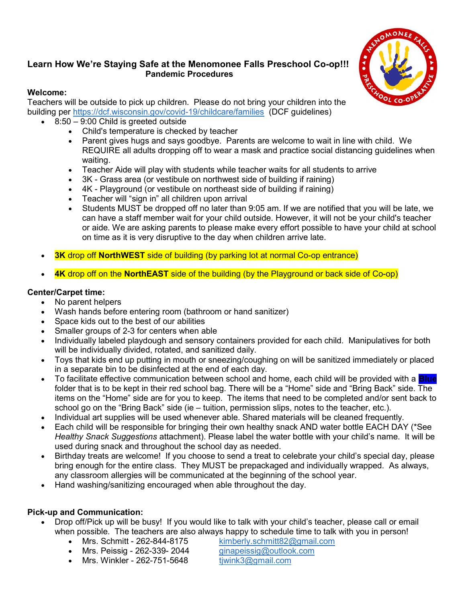## Learn How We're Staying Safe at the Menomonee Falls Preschool Co-op!!! Pandemic Procedures

## Welcome:

Teachers will be outside to pick up children. Please do not bring your children into the building per https://dcf.wisconsin.gov/covid-19/childcare/families (DCF guidelines)

- 8:50 9:00 Child is greeted outside
	- Child's temperature is checked by teacher
	- Parent gives hugs and says goodbye. Parents are welcome to wait in line with child. We REQUIRE all adults dropping off to wear a mask and practice social distancing guidelines when waiting.
	- Teacher Aide will play with students while teacher waits for all students to arrive
	- 3K Grass area (or vestibule on northwest side of building if raining)
	- 4K Playground (or vestibule on northeast side of building if raining)
	- Teacher will "sign in" all children upon arrival
	- Students MUST be dropped off no later than 9:05 am. If we are notified that you will be late, we can have a staff member wait for your child outside. However, it will not be your child's teacher or aide. We are asking parents to please make every effort possible to have your child at school on time as it is very disruptive to the day when children arrive late.
- 3K drop off NorthWEST side of building (by parking lot at normal Co-op entrance)
- 4K drop off on the NorthEAST side of the building (by the Playground or back side of Co-op)

## Center/Carpet time:

- No parent helpers
- Wash hands before entering room (bathroom or hand sanitizer)
- Space kids out to the best of our abilities
- Smaller groups of 2-3 for centers when able
- Individually labeled playdough and sensory containers provided for each child. Manipulatives for both will be individually divided, rotated, and sanitized daily.
- Toys that kids end up putting in mouth or sneezing/coughing on will be sanitized immediately or placed in a separate bin to be disinfected at the end of each day.
- To facilitate effective communication between school and home, each child will be provided with a **Blue** folder that is to be kept in their red school bag. There will be a "Home" side and "Bring Back" side. The items on the "Home" side are for you to keep. The items that need to be completed and/or sent back to school go on the "Bring Back" side (ie – tuition, permission slips, notes to the teacher, etc.).
- Individual art supplies will be used whenever able. Shared materials will be cleaned frequently.
- Each child will be responsible for bringing their own healthy snack AND water bottle EACH DAY (\*See Healthy Snack Suggestions attachment). Please label the water bottle with your child's name. It will be used during snack and throughout the school day as needed.
- Birthday treats are welcome! If you choose to send a treat to celebrate your child's special day, please bring enough for the entire class. They MUST be prepackaged and individually wrapped. As always, any classroom allergies will be communicated at the beginning of the school year.
- Hand washing/sanitizing encouraged when able throughout the day.

## Pick-up and Communication:

- Drop off/Pick up will be busy! If you would like to talk with your child's teacher, please call or email when possible. The teachers are also always happy to schedule time to talk with you in person!
	- Mrs. Schmitt 262-844-8175 kimberly.schmitt $82\omega$ gmail.com
		-
	- Mrs. Peissig 262-339- 2044 ginapeissig@outlook.com
	- Mrs. Winkler 262-751-5648 tjwink $3@g$ mail.com